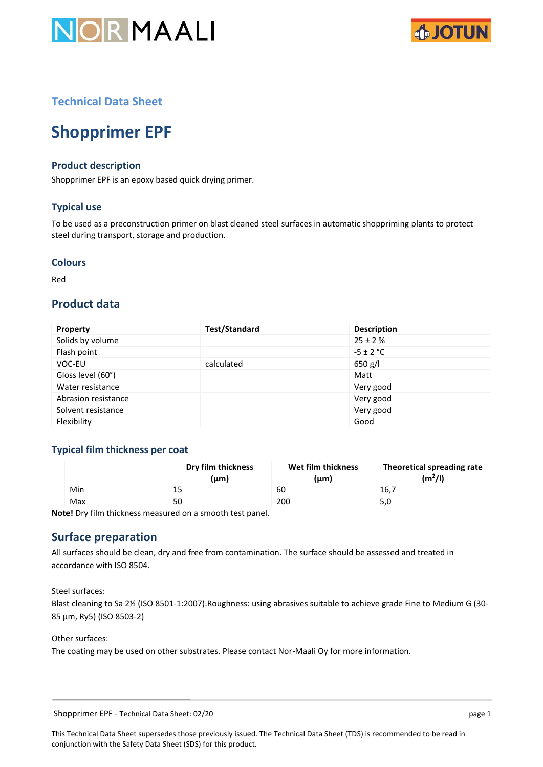



# **Technical Data Sheet**

# **Shopprimer EPF**

# **Product description**

Shopprimer EPF is an epoxy based quick drying primer.

# **Typical use**

To be used as a preconstruction primer on blast cleaned steel surfaces in automatic shoppriming plants to protect steel during transport, storage and production.

#### **Colours**

Red

# **Product data**

| <b>Property</b>     | <b>Test/Standard</b> | <b>Description</b> |
|---------------------|----------------------|--------------------|
| Solids by volume    |                      | $25 \pm 2 \%$      |
| Flash point         |                      | $-5 \pm 2$ °C      |
| VOC-EU              | calculated           | 650 g/l            |
| Gloss level (60°)   |                      | Matt               |
| Water resistance    |                      | Very good          |
| Abrasion resistance |                      | Very good          |
| Solvent resistance  |                      | Very good          |
| Flexibility         |                      | Good               |

## **Typical film thickness per coat**

|     | Dry film thickness<br>(µm) | Wet film thickness<br>(µm) | Theoretical spreading rate<br>$(m^2/l)$ |
|-----|----------------------------|----------------------------|-----------------------------------------|
| Min | 15                         | 60                         | 16,7                                    |
| Max | 50                         | 200                        | 5,0                                     |

**Note!** Dry film thickness measured on a smooth test panel.

# **Surface preparation**

All surfaces should be clean, dry and free from contamination. The surface should be assessed and treated in accordance with ISO 8504.

Steel surfaces:

Blast cleaning to Sa 2½ (ISO 8501-1:2007).Roughness: using abrasives suitable to achieve grade Fine to Medium G (30- 85 μm, Ry5) (ISO 8503-2)

Other surfaces:

The coating may be used on other substrates. Please contact Nor-Maali Oy for more information.

Shopprimer EPF - Technical Data Sheet: 02/20 page 1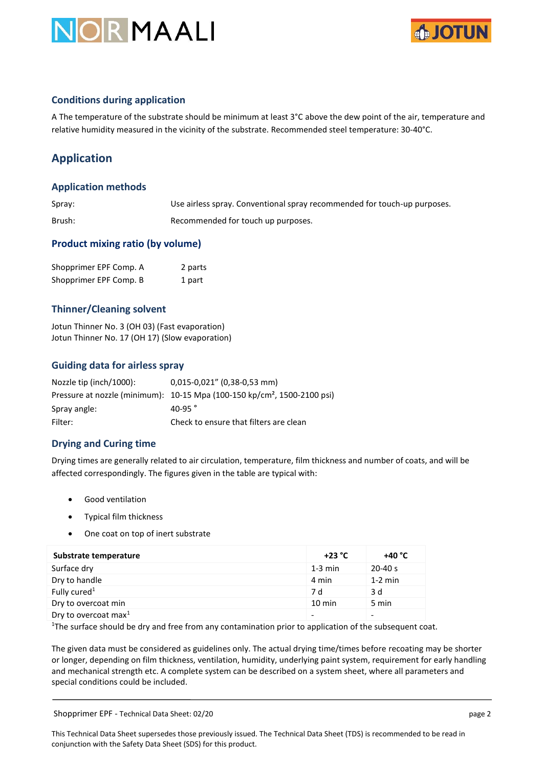



## **Conditions during application**

A The temperature of the substrate should be minimum at least 3°C above the dew point of the air, temperature and relative humidity measured in the vicinity of the substrate. Recommended steel temperature: 30-40°C.

# **Application**

## **Application methods**

| Spray: | Use airless spray. Conventional spray recommended for touch-up purposes. |
|--------|--------------------------------------------------------------------------|
| Brush: | Recommended for touch up purposes.                                       |

## **Product mixing ratio (by volume)**

| Shopprimer EPF Comp. A | 2 parts |
|------------------------|---------|
| Shopprimer EPF Comp. B | 1 part  |

# **Thinner/Cleaning solvent**

Jotun Thinner No. 3 (OH 03) (Fast evaporation) Jotun Thinner No. 17 (OH 17) (Slow evaporation)

## **Guiding data for airless spray**

| Nozzle tip (inch/1000): | 0,015-0,021" (0,38-0,53 mm)                                                          |
|-------------------------|--------------------------------------------------------------------------------------|
|                         | Pressure at nozzle (minimum): 10-15 Mpa (100-150 kp/cm <sup>2</sup> , 1500-2100 psi) |
| Spray angle:            | 40-95 $^{\circ}$                                                                     |
| Filter:                 | Check to ensure that filters are clean                                               |

## **Drying and Curing time**

Drying times are generally related to air circulation, temperature, film thickness and number of coats, and will be affected correspondingly. The figures given in the table are typical with:

- Good ventilation
- Typical film thickness
- One coat on top of inert substrate

| Substrate temperature    | $+23 °C$  | +40 °C      |
|--------------------------|-----------|-------------|
| Surface dry              | $1-3$ min | $20 - 40 s$ |
| Dry to handle            | 4 min     | $1-2$ min   |
| Fully cured <sup>1</sup> | 7 d       | 3 d         |
| Dry to overcoat min      | 10 min    | 5 min       |
| Dry to overcoat max $1$  |           |             |

<sup>1</sup>The surface should be dry and free from any contamination prior to application of the subsequent coat.

The given data must be considered as guidelines only. The actual drying time/times before recoating may be shorter or longer, depending on film thickness, ventilation, humidity, underlying paint system, requirement for early handling and mechanical strength etc. A complete system can be described on a system sheet, where all parameters and special conditions could be included.

Shopprimer EPF - Technical Data Sheet: 02/20